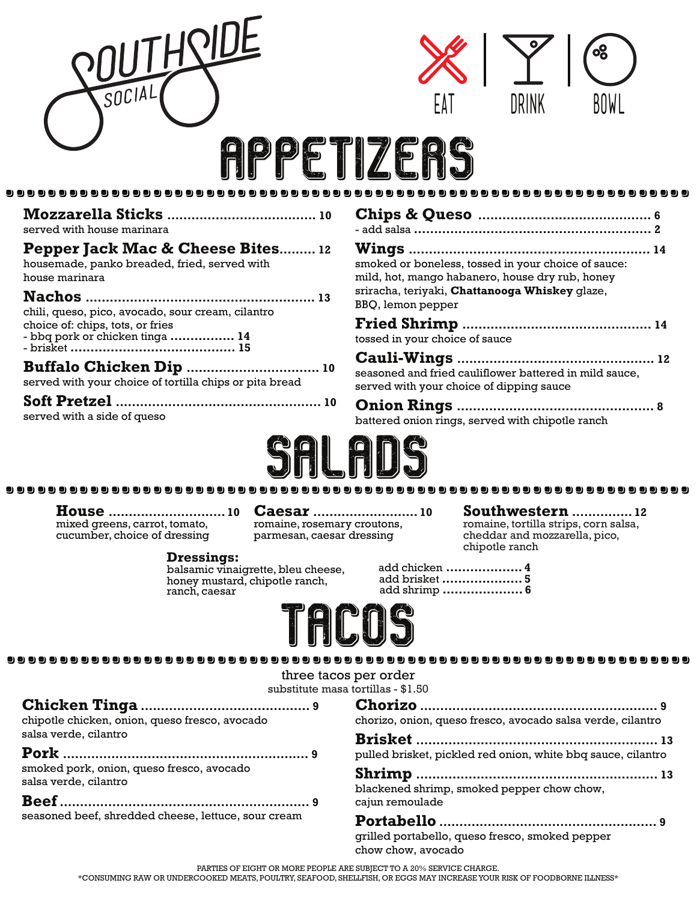| SOCIA                                                               | DRINK<br><b>BOWI</b><br>PEIIZFR                                                                    |
|---------------------------------------------------------------------|----------------------------------------------------------------------------------------------------|
|                                                                     |                                                                                                    |
| served with house marinara                                          |                                                                                                    |
| Pepper Jack Mac & Cheese Bites 12                                   |                                                                                                    |
| housemade, panko breaded, fried, served with                        | smoked or boneless, tossed in your choice of sauce:                                                |
| house marinara                                                      | mild, hot, mango habanero, house dry rub, honey                                                    |
|                                                                     | sriracha, teriyaki, Chattanooga Whiskey glaze,                                                     |
| chili, queso, pico, avocado, sour cream, cilantro                   | BBQ, lemon pepper                                                                                  |
| choice of: chips, tots, or fries<br>- bbq pork or chicken tinga  14 | tossed in your choice of sauce                                                                     |
| served with your choice of tortilla chips or pita bread             | seasoned and fried cauliflower battered in mild sauce.<br>served with your choice of dipping sauce |
|                                                                     |                                                                                                    |
| served with a side of queso                                         | battered onion rings, served with chipotle ranch                                                   |
|                                                                     |                                                                                                    |



**House ............................. 10** mixed greens, carrot, tomato, cucumber, choice of dressing

**Caesar .......................... 10**

romaine, rosemary croutons, parmesan, caesar dressing

#### **Southwestern ............... 12**

romaine, tortilla strips, corn salsa, cheddar and mozzarella, pico, chipotle ranch

 $\sim$ 

**Dressings:** honey mustard, chipotle ranch, ranch, caesar

| add chicken  4 |  |
|----------------|--|
| add brisket  5 |  |
| add shrimp  6  |  |



#### .................................................................

three tacos per order

substitute masa tortillas - \$1.50

| chipotle chicken, onion, queso fresco, avocado                     | chorizo, onion, queso fresco, avocado salsa verde, cilantro  |
|--------------------------------------------------------------------|--------------------------------------------------------------|
| salsa verde, cilantro                                              |                                                              |
|                                                                    | pulled brisket, pickled red onion, white bbq sauce, cilantro |
| smoked pork, onion, queso fresco, avocado<br>salsa verde, cilantro | blackened shrimp, smoked pepper chow chow,                   |
|                                                                    | cajun remoulade                                              |
| seasoned beef, shredded cheese, lettuce, sour cream                |                                                              |
|                                                                    | grilled portabello, queso fresco, smoked pepper              |

PARTIES OF EIGHT OR MORE PEOPLE ARE SUBJECT TO A 20% SERVICE CHARGE.

\*CONSUMING RAW OR UNDERCOOKED MEATS, POULTRY, SEAFOOD, SHELLFISH, OR EGGS MAY INCREASEYOUR RISK OF FOODBORNE ILLNESS\*

chow chow, avocado